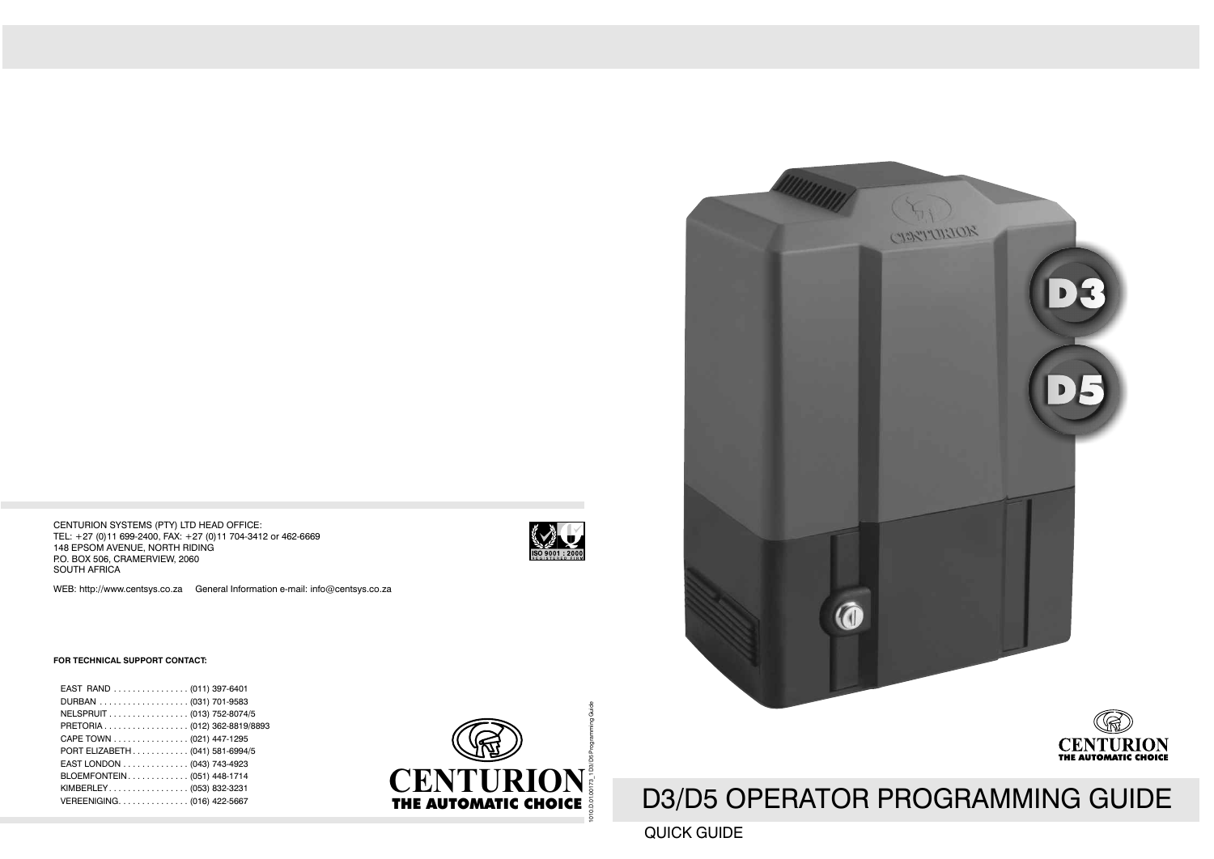CENTURION SYSTEMS (PTY) LTD HEAD OFFICE: TEL: +27 (0)11 699-2400, FAX: +27 (0)11 704-3412 or 462-6669 148 EPSOM AVENUE, NORTH RIDING P.O. BOX 506, CRAMERVIEW, 2060 SOUTH AFRICA

WEB: http://www.centsys.co.za General Information e-mail: info@centsys.co.za



#### **FOR TECHNICAL SUPPORT CONTACT:**

| EAST RAND (011) 397-6401        |
|---------------------------------|
|                                 |
| NELSPRUIT (013) 752-8074/5      |
| PRETORIA (012) 362-8819/8893    |
| CAPE TOWN (021) 447-1295        |
| PORT ELIZABETH (041) 581-6994/5 |
| EAST LONDON (043) 743-4923      |
| BLOEMFONTEIN (051) 448-1714     |
| KIMBERLEY (053) 832-3231        |
| VEREENIGING(016) 422-5667       |
|                                 |







# D3/D5 OPERATOR PROGRAMMING GUIDE

#### QUICK GUIDE